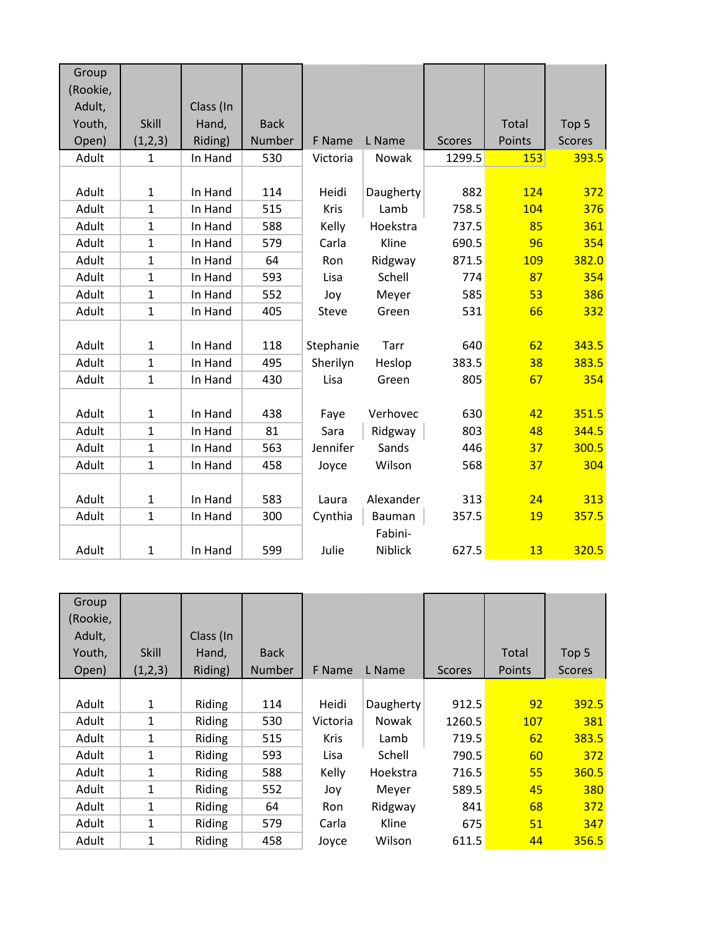| Group    |              |           |             |             |           |               |            |               |
|----------|--------------|-----------|-------------|-------------|-----------|---------------|------------|---------------|
| (Rookie, |              |           |             |             |           |               |            |               |
| Adult,   |              | Class (In |             |             |           |               |            |               |
| Youth,   | Skill        | Hand,     | <b>Back</b> |             |           |               | Total      | Top 5         |
| Open)    | (1,2,3)      | Riding)   | Number      | F Name      | L Name    | <b>Scores</b> | Points     | <b>Scores</b> |
| Adult    | $\mathbf{1}$ | In Hand   | 530         | Victoria    | Nowak     | 1299.5        | <b>153</b> | 393.5         |
|          |              |           |             |             |           |               |            |               |
| Adult    | $\mathbf{1}$ | In Hand   | 114         | Heidi       | Daugherty | 882           | 124        | 372           |
| Adult    | $\mathbf{1}$ | In Hand   | 515         | <b>Kris</b> | Lamb      | 758.5         | 104        | 376           |
| Adult    | $\mathbf{1}$ | In Hand   | 588         | Kelly       | Hoekstra  | 737.5         | 85         | 361           |
| Adult    | $\mathbf{1}$ | In Hand   | 579         | Carla       | Kline     | 690.5         | 96         | 354           |
| Adult    | $\mathbf{1}$ | In Hand   | 64          | Ron         | Ridgway   | 871.5         | <b>109</b> | 382.0         |
| Adult    | $\mathbf{1}$ | In Hand   | 593         | Lisa        | Schell    | 774           | 87         | 354           |
| Adult    | $\mathbf 1$  | In Hand   | 552         | Joy         | Meyer     | 585           | 53         | 386           |
| Adult    | $\mathbf{1}$ | In Hand   | 405         | Steve       | Green     | 531           | 66         | 332           |
|          |              |           |             |             |           |               |            |               |
| Adult    | $\mathbf{1}$ | In Hand   | 118         | Stephanie   | Tarr      | 640           | 62         | 343.5         |
| Adult    | $\mathbf{1}$ | In Hand   | 495         | Sherilyn    | Heslop    | 383.5         | 38         | 383.5         |
| Adult    | $\mathbf{1}$ | In Hand   | 430         | Lisa        | Green     | 805           | 67         | 354           |
|          |              |           |             |             |           |               |            |               |
| Adult    | $\mathbf{1}$ | In Hand   | 438         | Faye        | Verhovec  | 630           | 42         | 351.5         |
| Adult    | $\mathbf{1}$ | In Hand   | 81          | Sara        | Ridgway   | 803           | 48         | 344.5         |
| Adult    | $\mathbf{1}$ | In Hand   | 563         | Jennifer    | Sands     | 446           | 37         | 300.5         |
| Adult    | $\mathbf{1}$ | In Hand   | 458         | Joyce       | Wilson    | 568           | 37         | 304           |
|          |              |           |             |             |           |               |            |               |
| Adult    | $\mathbf 1$  | In Hand   | 583         | Laura       | Alexander | 313           | 24         | 313           |
| Adult    | $\mathbf{1}$ | In Hand   | 300         | Cynthia     | Bauman    | 357.5         | <b>19</b>  | 357.5         |
|          |              |           |             |             | Fabini-   |               |            |               |
| Adult    | $\mathbf{1}$ | In Hand   | 599         | Julie       | Niblick   | 627.5         | 13         | 320.5         |

| Group    |              |           |               |             |              |               |        |               |
|----------|--------------|-----------|---------------|-------------|--------------|---------------|--------|---------------|
| (Rookie, |              |           |               |             |              |               |        |               |
| Adult,   |              | Class (In |               |             |              |               |        |               |
| Youth,   | <b>Skill</b> | Hand,     | <b>Back</b>   |             |              |               | Total  | Top 5         |
| Open)    | (1,2,3)      | Riding)   | <b>Number</b> | F Name      | L Name       | <b>Scores</b> | Points | <b>Scores</b> |
|          |              |           |               |             |              |               |        |               |
| Adult    | 1            | Riding    | 114           | Heidi       | Daugherty    | 912.5         | 92     | 392.5         |
| Adult    | 1            | Riding    | 530           | Victoria    | <b>Nowak</b> | 1260.5        | 107    | 381           |
| Adult    | 1            | Riding    | 515           | <b>Kris</b> | Lamb         | 719.5         | 62     | 383.5         |
| Adult    | 1            | Riding    | 593           | Lisa        | Schell       | 790.5         | 60     | 372           |
| Adult    | 1            | Riding    | 588           | Kelly       | Hoekstra     | 716.5         | 55     | 360.5         |
| Adult    | 1            | Riding    | 552           | Joy         | Meyer        | 589.5         | 45     | 380           |
| Adult    | 1            | Riding    | 64            | <b>Ron</b>  | Ridgway      | 841           | 68     | 372           |
| Adult    | 1            | Riding    | 579           | Carla       | Kline        | 675           | 51     | 347           |
| Adult    | $\mathbf{1}$ | Riding    | 458           | Joyce       | Wilson       | 611.5         | 44     | 356.5         |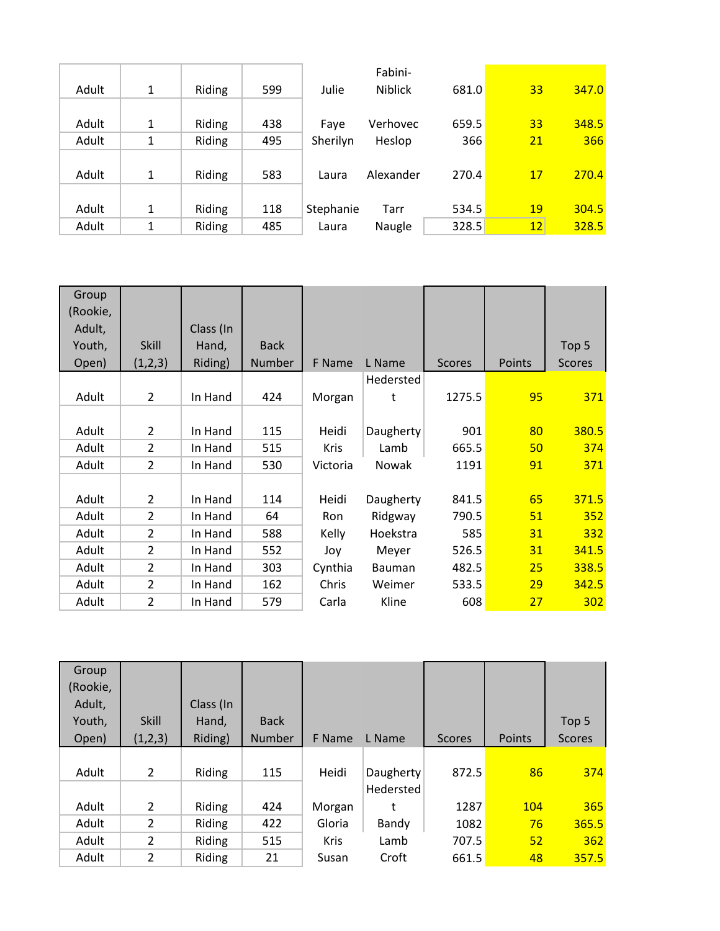|       |   |        |     |           | Fabini-        |       |           |       |
|-------|---|--------|-----|-----------|----------------|-------|-----------|-------|
| Adult | 1 | Riding | 599 | Julie     | <b>Niblick</b> | 681.0 | 33        | 347.0 |
|       |   |        |     |           |                |       |           |       |
| Adult | 1 | Riding | 438 | Faye      | Verhovec       | 659.5 | 33        | 348.5 |
| Adult | 1 | Riding | 495 | Sherilyn  | Heslop         | 366   | 21        | 366   |
|       |   |        |     |           |                |       |           |       |
| Adult | 1 | Riding | 583 | Laura     | Alexander      | 270.4 | 17        | 270.4 |
|       |   |        |     |           |                |       |           |       |
| Adult | 1 | Riding | 118 | Stephanie | Tarr           | 534.5 | <b>19</b> | 304.5 |
| Adult | 1 | Riding | 485 | Laura     | Naugle         | 328.5 | 12        | 328.5 |

| Group    |                |           |             |             |              |               |        |               |
|----------|----------------|-----------|-------------|-------------|--------------|---------------|--------|---------------|
| (Rookie, |                |           |             |             |              |               |        |               |
| Adult,   |                | Class (In |             |             |              |               |        |               |
| Youth,   | Skill          | Hand,     | <b>Back</b> |             |              |               |        | Top 5         |
| Open)    | (1,2,3)        | Riding)   | Number      | F Name      | L Name       | <b>Scores</b> | Points | <b>Scores</b> |
|          |                |           |             |             | Hedersted    |               |        |               |
| Adult    | $\overline{2}$ | In Hand   | 424         | Morgan      | t            | 1275.5        | 95     | 371           |
|          |                |           |             |             |              |               |        |               |
| Adult    | 2              | In Hand   | 115         | Heidi       | Daugherty    | 901           | 80     | 380.5         |
| Adult    | $\overline{2}$ | In Hand   | 515         | <b>Kris</b> | Lamb         | 665.5         | 50     | 374           |
| Adult    | $\overline{2}$ | In Hand   | 530         | Victoria    | <b>Nowak</b> | 1191          | 91     | 371           |
|          |                |           |             |             |              |               |        |               |
| Adult    | $\overline{2}$ | In Hand   | 114         | Heidi       | Daugherty    | 841.5         | 65     | 371.5         |
| Adult    | $\overline{2}$ | In Hand   | 64          | Ron         | Ridgway      | 790.5         | 51     | 352           |
| Adult    | $\overline{2}$ | In Hand   | 588         | Kelly       | Hoekstra     | 585           | 31     | 332           |
| Adult    | $\overline{2}$ | In Hand   | 552         | Joy         | Meyer        | 526.5         | 31     | 341.5         |
| Adult    | $\overline{2}$ | In Hand   | 303         | Cynthia     | Bauman       | 482.5         | 25     | 338.5         |
| Adult    | $\overline{2}$ | In Hand   | 162         | Chris       | Weimer       | 533.5         | 29     | 342.5         |
| Adult    | $\overline{2}$ | In Hand   | 579         | Carla       | Kline        | 608           | 27     | 302           |

| Group    |                |           |               |             |           |               |            |               |
|----------|----------------|-----------|---------------|-------------|-----------|---------------|------------|---------------|
| (Rookie, |                |           |               |             |           |               |            |               |
| Adult,   |                | Class (In |               |             |           |               |            |               |
| Youth,   | <b>Skill</b>   | Hand,     | <b>Back</b>   |             |           |               |            | Top 5         |
| Open)    | (1,2,3)        | Riding)   | <b>Number</b> | F Name      | L Name    | <b>Scores</b> | Points     | <b>Scores</b> |
|          |                |           |               |             |           |               |            |               |
| Adult    | $\overline{2}$ | Riding    | 115           | Heidi       | Daugherty | 872.5         | 86         | 374           |
|          |                |           |               |             | Hedersted |               |            |               |
| Adult    | $\overline{2}$ | Riding    | 424           | Morgan      | t         | 1287          | <b>104</b> | 365           |
| Adult    | $\overline{2}$ | Riding    | 422           | Gloria      | Bandy     | 1082          | 76         | 365.5         |
| Adult    | $\overline{2}$ | Riding    | 515           | <b>Kris</b> | Lamb      | 707.5         | 52         | 362           |
| Adult    | $\overline{2}$ | Riding    | 21            | Susan       | Croft     | 661.5         | 48         | 357.5         |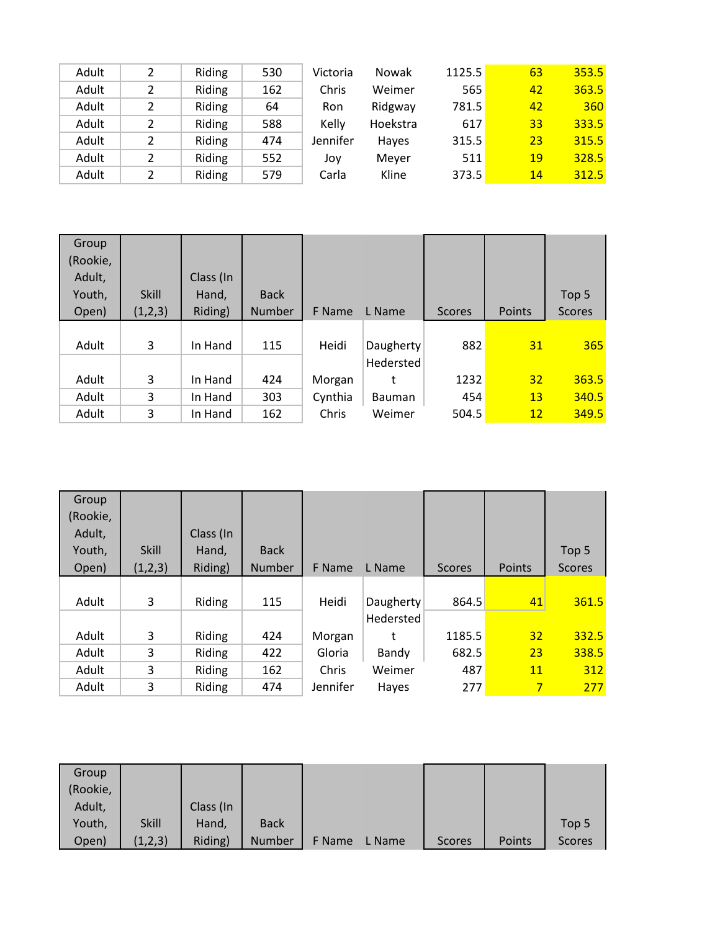| Adult | 2 | Riding | 530 | Victoria | Nowak    | 1125.5 | 63 | 353.5 |
|-------|---|--------|-----|----------|----------|--------|----|-------|
| Adult | 2 | Riding | 162 | Chris    | Weimer   | 565    | 42 | 363.5 |
| Adult | 2 | Riding | 64  | Ron      | Ridgway  | 781.5  | 42 | 360   |
| Adult | 2 | Riding | 588 | Kelly    | Hoekstra | 617    | 33 | 333.5 |
| Adult | 2 | Riding | 474 | Jennifer | Haves    | 315.5  | 23 | 315.5 |
| Adult | 2 | Riding | 552 | Joy      | Mever    | 511    | 19 | 328.5 |
| Adult | 2 | Riding | 579 | Carla    | Kline    | 373.5  | 14 | 312.5 |

| Group    |              |           |               |         |               |               |                 |               |
|----------|--------------|-----------|---------------|---------|---------------|---------------|-----------------|---------------|
| (Rookie, |              |           |               |         |               |               |                 |               |
| Adult,   |              | Class (In |               |         |               |               |                 |               |
| Youth,   | <b>Skill</b> | Hand,     | <b>Back</b>   |         |               |               |                 | Top 5         |
| Open)    | (1,2,3)      | Riding)   | <b>Number</b> | F Name  | L Name        | <b>Scores</b> | Points          | <b>Scores</b> |
|          |              |           |               |         |               |               |                 |               |
| Adult    | 3            | In Hand   | 115           | Heidi   | Daugherty     | 882           | 31              | 365           |
|          |              |           |               |         | Hedersted     |               |                 |               |
| Adult    | 3            | In Hand   | 424           | Morgan  | t             | 1232          | 32 <sub>l</sub> | 363.5         |
| Adult    | 3            | In Hand   | 303           | Cynthia | <b>Bauman</b> | 454           | 13              | 340.5         |
| Adult    | 3            | In Hand   | 162           | Chris   | Weimer        | 504.5         | 12              | 349.5         |

| Group    |              |           |               |          |           |               |               |               |
|----------|--------------|-----------|---------------|----------|-----------|---------------|---------------|---------------|
| (Rookie, |              |           |               |          |           |               |               |               |
| Adult,   |              | Class (In |               |          |           |               |               |               |
| Youth,   | <b>Skill</b> | Hand,     | <b>Back</b>   |          |           |               |               | Top 5         |
| Open)    | (1,2,3)      | Riding)   | <b>Number</b> | F Name   | L Name    | <b>Scores</b> | <b>Points</b> | <b>Scores</b> |
|          |              |           |               |          |           |               |               |               |
| Adult    | 3            | Riding    | 115           | Heidi    | Daugherty | 864.5         | 41            | 361.5         |
|          |              |           |               |          | Hedersted |               |               |               |
| Adult    | 3            | Riding    | 424           | Morgan   | t         | 1185.5        | 32            | 332.5         |
| Adult    | 3            | Riding    | 422           | Gloria   | Bandy     | 682.5         | 23            | 338.5         |
| Adult    | 3            | Riding    | 162           | Chris    | Weimer    | 487           | 11            | 312           |
| Adult    | 3            | Riding    | 474           | Jennifer | Hayes     | 277           | 7             | 277           |

| Group    |              |           |             |        |        |               |        |               |
|----------|--------------|-----------|-------------|--------|--------|---------------|--------|---------------|
| (Rookie, |              |           |             |        |        |               |        |               |
| Adult,   |              | Class (In |             |        |        |               |        |               |
| Youth,   | <b>Skill</b> | Hand,     | <b>Back</b> |        |        |               |        | Top 5         |
| Open)    | (1,2,3)      | Riding)   | Number      | F Name | L Name | <b>Scores</b> | Points | <b>Scores</b> |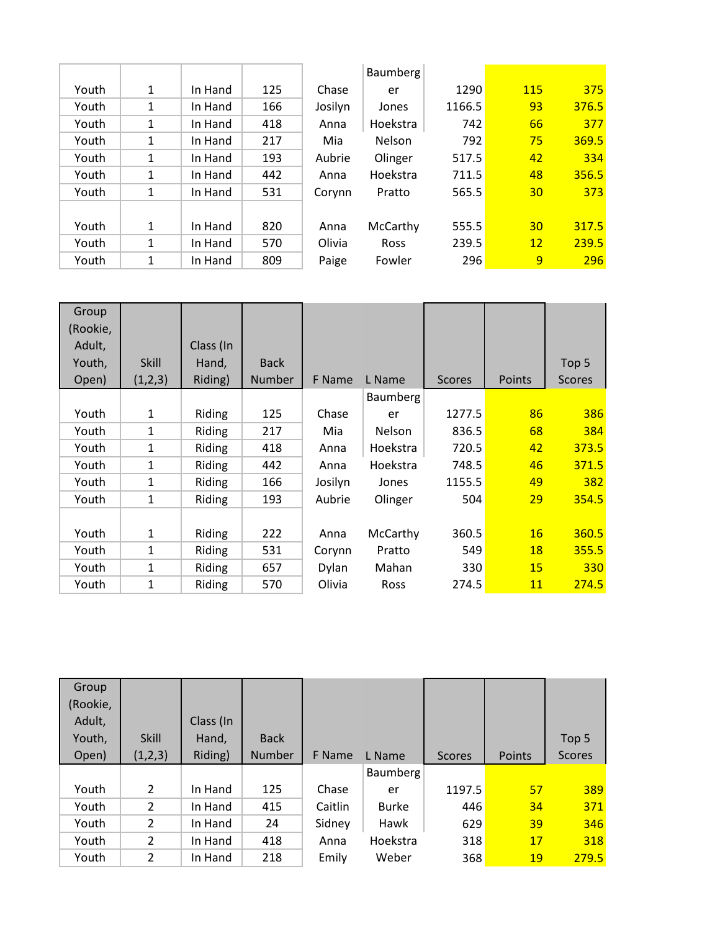|       |   |         |     |         | <b>Baumberg</b> |        |            |       |
|-------|---|---------|-----|---------|-----------------|--------|------------|-------|
| Youth | 1 | In Hand | 125 | Chase   | er              | 1290   | <b>115</b> | 375   |
| Youth | 1 | In Hand | 166 | Josilyn | Jones           | 1166.5 | 93         | 376.5 |
| Youth | 1 | In Hand | 418 | Anna    | Hoekstra        | 742    | 66         | 377   |
| Youth | 1 | In Hand | 217 | Mia     | <b>Nelson</b>   | 792    | 75         | 369.5 |
| Youth | 1 | In Hand | 193 | Aubrie  | Olinger         | 517.5  | 42         | 334   |
| Youth | 1 | In Hand | 442 | Anna    | Hoekstra        | 711.5  | 48         | 356.5 |
| Youth | 1 | In Hand | 531 | Corynn  | Pratto          | 565.5  | 30         | 373   |
|       |   |         |     |         |                 |        |            |       |
| Youth | 1 | In Hand | 820 | Anna    | McCarthy        | 555.5  | 30         | 317.5 |
| Youth | 1 | In Hand | 570 | Olivia  | Ross            | 239.5  | 12         | 239.5 |
| Youth | 1 | In Hand | 809 | Paige   | Fowler          | 296    | 9          | 296   |

| Group<br>(Rookie, |              |           |             |              |               |               |           |               |
|-------------------|--------------|-----------|-------------|--------------|---------------|---------------|-----------|---------------|
| Adult,            |              | Class (In |             |              |               |               |           |               |
| Youth,            | <b>Skill</b> | Hand,     | <b>Back</b> |              |               |               |           | Top 5         |
| Open)             | (1,2,3)      | Riding)   | Number      | F Name       | L Name        | <b>Scores</b> | Points    | <b>Scores</b> |
|                   |              |           |             |              | Baumberg      |               |           |               |
| Youth             | $\mathbf{1}$ | Riding    | 125         | Chase        | er            | 1277.5        | 86        | 386           |
| Youth             | 1            | Riding    | 217         | Mia          | <b>Nelson</b> | 836.5         | 68        | 384           |
| Youth             | 1            | Riding    | 418         | Anna         | Hoekstra      | 720.5         | 42        | 373.5         |
| Youth             | $\mathbf{1}$ | Riding    | 442         | Anna         | Hoekstra      | 748.5         | 46        | 371.5         |
| Youth             | 1            | Riding    | 166         | Josilyn      | Jones         | 1155.5        | 49        | 382           |
| Youth             | $\mathbf{1}$ | Riding    | 193         | Aubrie       | Olinger       | 504           | 29        | 354.5         |
|                   |              |           |             |              |               |               |           |               |
| Youth             | 1            | Riding    | 222         | Anna         | McCarthy      | 360.5         | 16        | 360.5         |
| Youth             | 1            | Riding    | 531         | Corynn       | Pratto        | 549           | <b>18</b> | 355.5         |
| Youth             | $\mathbf{1}$ | Riding    | 657         | <b>Dylan</b> | Mahan         | 330           | 15        | 330           |
| Youth             | 1            | Riding    | 570         | Olivia       | <b>Ross</b>   | 274.5         | 11        | 274.5         |

| Group    |                |           |               |         |              |               |           |                  |
|----------|----------------|-----------|---------------|---------|--------------|---------------|-----------|------------------|
| (Rookie, |                |           |               |         |              |               |           |                  |
| Adult,   |                | Class (In |               |         |              |               |           |                  |
| Youth,   | <b>Skill</b>   | Hand,     | <b>Back</b>   |         |              |               |           | Top <sub>5</sub> |
| Open)    | (1,2,3)        | Riding)   | <b>Number</b> | F Name  | L Name       | <b>Scores</b> | Points    | <b>Scores</b>    |
|          |                |           |               |         | Baumberg     |               |           |                  |
| Youth    | 2              | In Hand   | 125           | Chase   | er           | 1197.5        | 57        | 389              |
| Youth    | $\overline{2}$ | In Hand   | 415           | Caitlin | <b>Burke</b> | 446           | 34        | 371              |
| Youth    | 2              | In Hand   | 24            | Sidney  | Hawk         | 629           | 39        | 346              |
| Youth    | 2              | In Hand   | 418           | Anna    | Hoekstra     | 318           | 17        | 318              |
| Youth    | 2              | In Hand   | 218           | Emily   | Weber        | 368           | <b>19</b> | 279.5            |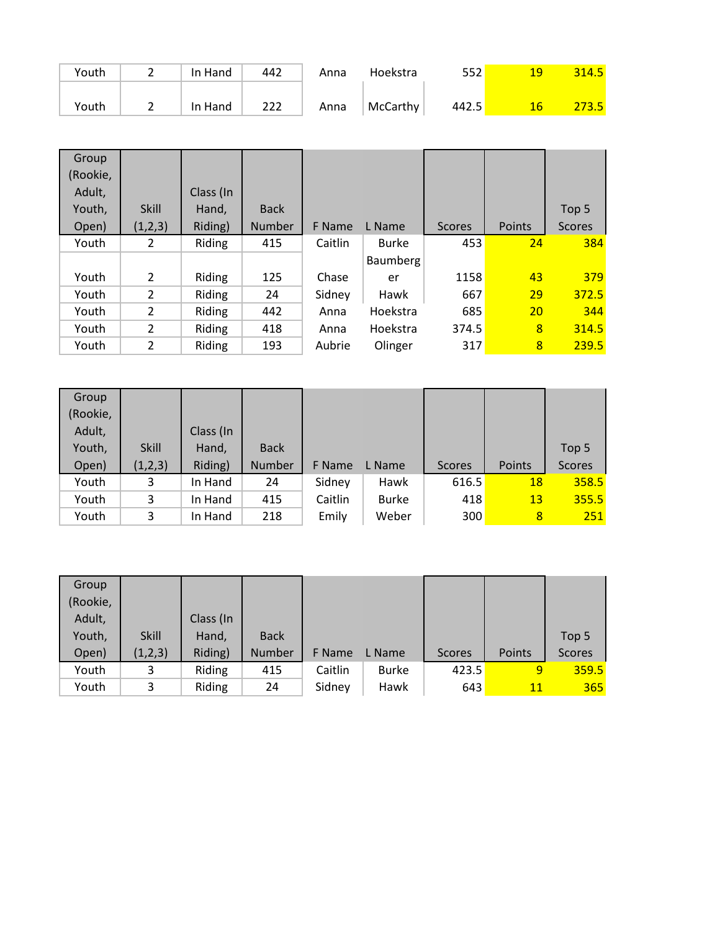| Youth | -        | In Hand | 442 | Anna | Hoekstra | 552   | 19 | 314.5        |
|-------|----------|---------|-----|------|----------|-------|----|--------------|
|       |          |         |     |      |          |       |    |              |
| Youth | <u>.</u> | In Hand | 222 | Anna | McCarthy | 442.5 | 16 | <b>273.5</b> |

| Group    |                |           |               |         |              |               |        |               |
|----------|----------------|-----------|---------------|---------|--------------|---------------|--------|---------------|
| (Rookie, |                |           |               |         |              |               |        |               |
| Adult,   |                | Class (In |               |         |              |               |        |               |
| Youth,   | <b>Skill</b>   | Hand,     | <b>Back</b>   |         |              |               |        | Top 5         |
| Open)    | (1,2,3)        | Riding)   | <b>Number</b> | F Name  | L Name       | <b>Scores</b> | Points | <b>Scores</b> |
| Youth    | 2              | Riding    | 415           | Caitlin | <b>Burke</b> | 453           | 24     | 384           |
|          |                |           |               |         | Baumberg     |               |        |               |
| Youth    | 2              | Riding    | 125           | Chase   | er           | 1158          | 43     | 379           |
| Youth    | $\overline{2}$ | Riding    | 24            | Sidney  | Hawk         | 667           | 29     | 372.5         |
| Youth    | $\overline{2}$ | Riding    | 442           | Anna    | Hoekstra     | 685           | 20     | 344           |
| Youth    | $\overline{2}$ | Riding    | 418           | Anna    | Hoekstra     | 374.5         | 8      | 314.5         |
| Youth    | 2              | Riding    | 193           | Aubrie  | Olinger      | 317           | 8      | 239.5         |

| Group    |              |           |             |         |              |               |              |               |
|----------|--------------|-----------|-------------|---------|--------------|---------------|--------------|---------------|
| (Rookie, |              |           |             |         |              |               |              |               |
| Adult,   |              | Class (In |             |         |              |               |              |               |
| Youth,   | <b>Skill</b> | Hand,     | <b>Back</b> |         |              |               |              | Top 5         |
| Open)    | (1,2,3)      | Riding)   | Number      | F Name  | L Name       | <b>Scores</b> | Points       | <b>Scores</b> |
| Youth    | 3            | In Hand   | 24          | Sidney  | Hawk         | 616.5         | 18           | 358.5         |
| Youth    | 3            | In Hand   | 415         | Caitlin | <b>Burke</b> | 418           | 13           | 355.5         |
| Youth    | 3            | In Hand   | 218         | Emily   | Weber        | 300           | $\mathbf{8}$ | 251           |

| Group    |              |           |             |         |              |        |        |               |
|----------|--------------|-----------|-------------|---------|--------------|--------|--------|---------------|
| (Rookie, |              |           |             |         |              |        |        |               |
| Adult,   |              | Class (In |             |         |              |        |        |               |
| Youth,   | <b>Skill</b> | Hand,     | <b>Back</b> |         |              |        |        | Top 5         |
| Open)    | (1,2,3)      | Riding)   | Number      | F Name  | L Name       | Scores | Points | <b>Scores</b> |
| Youth    | 3            | Riding    | 415         | Caitlin | <b>Burke</b> | 423.5  | 9      | 359.5         |
| Youth    | 3            | Riding    | 24          | Sidney  | Hawk         | 643    | 11     | 365           |
|          |              |           |             |         |              |        |        |               |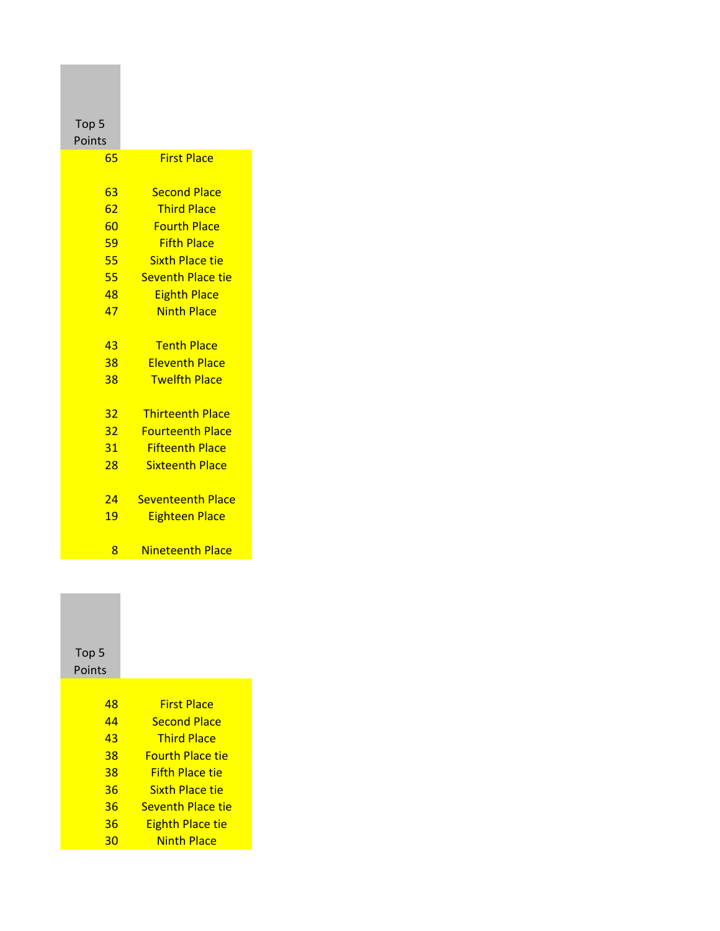| Top <sub>5</sub> |                          |
|------------------|--------------------------|
| Points           |                          |
| 65               | <b>First Place</b>       |
|                  |                          |
| 63               | <b>Second Place</b>      |
| 62               | <b>Third Place</b>       |
| 60               | <b>Fourth Place</b>      |
| 59               | <b>Fifth Place</b>       |
| 55               | <b>Sixth Place tie</b>   |
| 55               | <b>Seventh Place tie</b> |
| 48               | <b>Eighth Place</b>      |
| 47               | <b>Ninth Place</b>       |
|                  |                          |
| 43               | <b>Tenth Place</b>       |
| 38               | <b>Eleventh Place</b>    |
| 38               | <b>Twelfth Place</b>     |
|                  |                          |
| 32               | <b>Thirteenth Place</b>  |
| 32 <sub>2</sub>  | <b>Fourteenth Place</b>  |
| 31               | <b>Fifteenth Place</b>   |
| 28               | <b>Sixteenth Place</b>   |
|                  |                          |
| 24               | <b>Seventeenth Place</b> |
| 19               | <b>Eighteen Place</b>    |
|                  |                          |
| 8                | Nineteenth Place         |

## Top 5 Points

| 48 | <b>First Place</b>       |
|----|--------------------------|
| 44 | <b>Second Place</b>      |
| 43 | <b>Third Place</b>       |
| 38 | Fourth Place tie         |
| 38 | <b>Fifth Place tie</b>   |
| 36 | <b>Sixth Place tie</b>   |
| 36 | <b>Seventh Place tie</b> |
| 36 | <b>Eighth Place tie</b>  |
| 30 | <b>Ninth Place</b>       |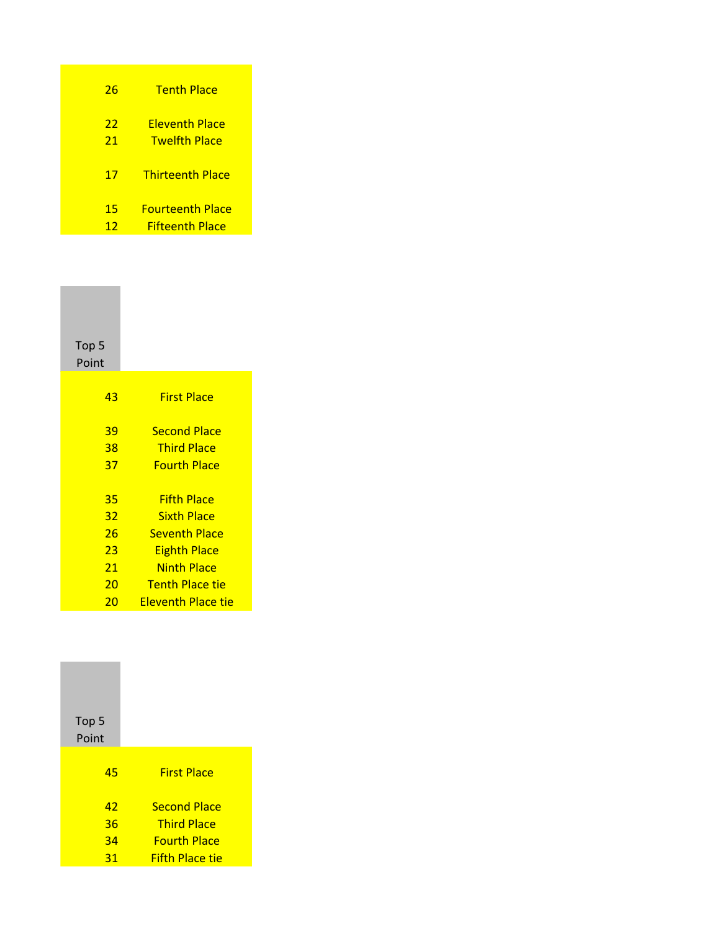| 26       | <b>Tenth Place</b>                             |
|----------|------------------------------------------------|
| 22<br>21 | <u> Fleventh Place</u><br><b>Twelfth Place</b> |
| 17       | <b>Thirteenth Place</b>                        |
| 15       | <b>Fourteenth Place</b>                        |
| 12       | <b>Fifteenth Place</b>                         |

| Top 5<br>Point |                        |
|----------------|------------------------|
| 43             | <b>First Place</b>     |
| 39             | <b>Second Place</b>    |
| 38             | <b>Third Place</b>     |
| 37             | <b>Fourth Place</b>    |
|                |                        |
| 35             | <b>Fifth Place</b>     |
| 32             | <b>Sixth Place</b>     |
| 26             | <b>Seventh Place</b>   |
| 23             | <b>Eighth Place</b>    |
| 21             | <b>Ninth Place</b>     |
| 20             | <b>Tenth Place tie</b> |
| 20             | Eleventh Place tie     |

| <b>First Place</b>                                                                         |
|--------------------------------------------------------------------------------------------|
| <b>Second Place</b><br><b>Third Place</b><br><b>Fourth Place</b><br><b>Fifth Place tie</b> |
|                                                                                            |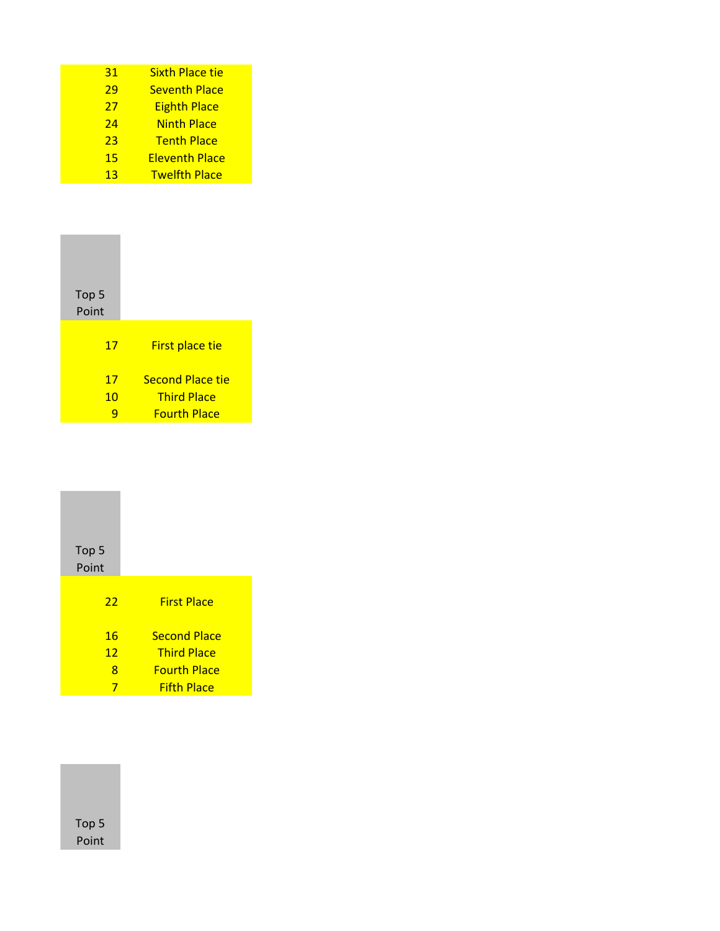| 31 | <b>Sixth Place tie</b> |
|----|------------------------|
| 29 | <b>Seventh Place</b>   |
| 27 | <b>Eighth Place</b>    |
| 24 | <b>Ninth Place</b>     |
| 23 | <b>Tenth Place</b>     |
| 15 | <b>Eleventh Place</b>  |
| 13 | <b>Twelfth Place</b>   |

| Top 5<br>Point |                         |  |
|----------------|-------------------------|--|
| 17             | <b>First place tie</b>  |  |
| 17             | <b>Second Place tie</b> |  |
| 10             | <b>Third Place</b>      |  |
|                | <b>Fourth Place</b>     |  |

| Top <sub>5</sub><br>Point |                     |
|---------------------------|---------------------|
| 22                        | <b>First Place</b>  |
| 16                        | <b>Second Place</b> |
| 12                        | <b>Third Place</b>  |
| 8                         | <b>Fourth Place</b> |
| 7                         | <b>Fifth Place</b>  |

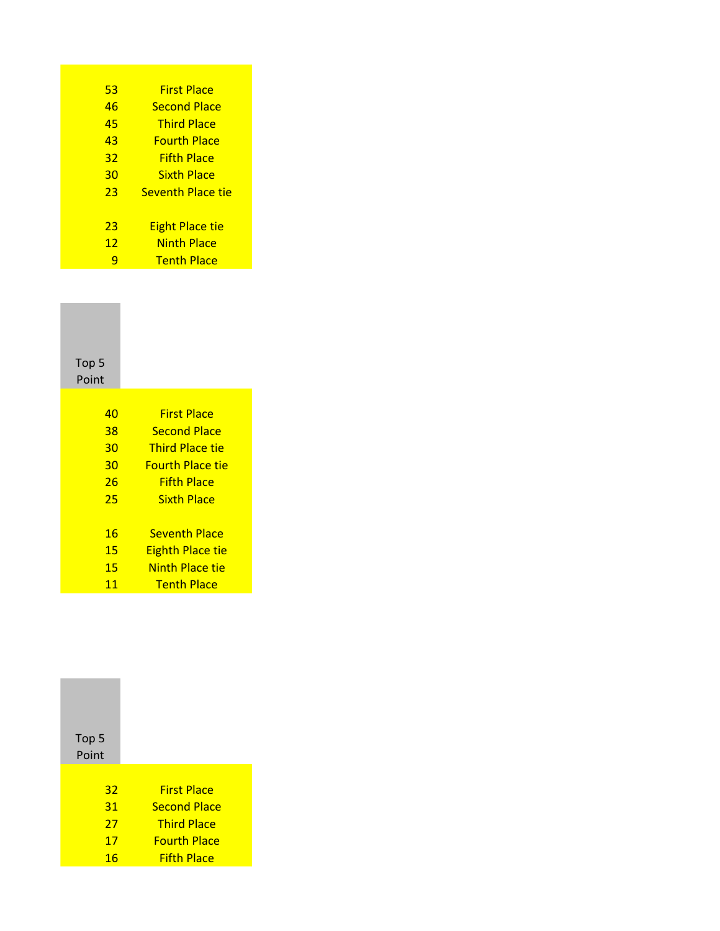| 53 | <b>First Place</b>       |
|----|--------------------------|
| 46 | <b>Second Place</b>      |
| 45 | <b>Third Place</b>       |
| 43 | <u>Fourth Place</u>      |
| 32 | <b>Fifth Place</b>       |
| 30 | <b>Sixth Place</b>       |
| 23 | <b>Seventh Place tie</b> |
|    |                          |
| 23 | <b>Eight Place tie</b>   |
| 12 | <b>Ninth Place</b>       |
|    | <b>Tenth Place</b>       |

Top 5 Point

| 40 | <b>First Place</b>      |
|----|-------------------------|
| 38 | <b>Second Place</b>     |
| 30 | <b>Third Place tie</b>  |
| 30 | <b>Fourth Place tie</b> |
| 26 | <b>Fifth Place</b>      |
| 25 | <b>Sixth Place</b>      |
|    |                         |
| 16 | <b>Seventh Place</b>    |
| 15 | Eighth Place tie        |
| 15 | Ninth Place tie         |
| 11 | <b>Tenth Place</b>      |

| Top 5<br>Point |                     |
|----------------|---------------------|
|                |                     |
| 32             | <b>First Place</b>  |
| 31             | <b>Second Place</b> |
| 27             | <b>Third Place</b>  |
| 17             | <u>Fourth Place</u> |
| 16             | <b>Fifth Place</b>  |